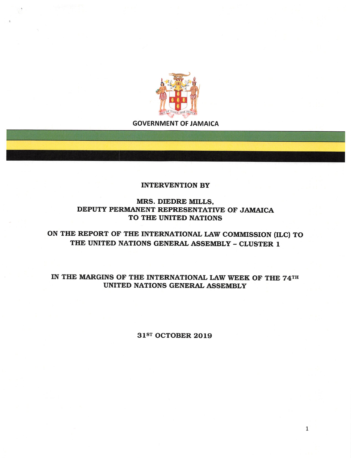

**GOVERNMENT OF JAMAICA** 

## **INTERVENTION BY**

MRS. DIEDRE MILLS. DEPUTY PERMANENT REPRESENTATIVE OF JAMAICA TO THE UNITED NATIONS

ON THE REPORT OF THE INTERNATIONAL LAW COMMISSION (ILC) TO THE UNITED NATIONS GENERAL ASSEMBLY - CLUSTER 1

IN THE MARGINS OF THE INTERNATIONAL LAW WEEK OF THE 74TH UNITED NATIONS GENERAL ASSEMBLY

31ST OCTOBER 2019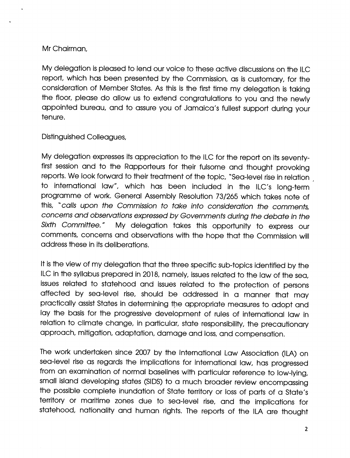## Mr Chairman,

My delegation is pleased to lend our voice to these active discussions on the ILC report, which has been presented by the Commission, as is customary, for the consideration of Member States. As this is the first time my delegation is taking the floor, please do allow us to extend congratulations to you and the newly appointed bureau, and to assure you of Jamaica's fullest support during your tenure.

Distinguished Colleagues,

My delegation expresses its appreciation to the ILC for the report on its seventyfirst session and to the Rapporteurs for their fulsome and thought provoking reports. We look forward to their treatment of the topic, "Sea-level rise in relation to international law", which has been Included In the ILC's long-term programme of work. General Assembly Resolution 73/265 which takes note of this, "calls upon the Commission to take into consideration the comments, concerns and observations expressed by Governments during the debate in the Sixth Committee." My delegation takes this opportunity to express our comments, concerns and observations with the hope that the Commission will address these in its deliberations.

It is the view of my delegation that the three specific sub-topics identified by the ILC in the syllabus prepared in 2018, namely, issues related to the law of the sea, Issues related to statehood and Issues related to the protection of persons affected by sea-level rise, should be addressed In a manner that may practically assist States in determining the appropriate measures to adopt and lay the basis for the progressive development of rules of international law in relation to climate change, in particular, state responsibility, the precautionary approach, mitigation, adaptation, damage and ioss, and compensation.

The work undertaken since 2007 by the International Law Association (ILA) on sea-level rise as regards the implications for international law, has progressed from an examination of normal baselines with particular reference to low-lying, small island developing states (SIDS) to a much broader review encompassing the possible complete inundation of State territory or loss of parts of a State's territory or maritime zones due to sea-level rise, and the implications for statehood, nationality and human rights. The reports of the ILA are thought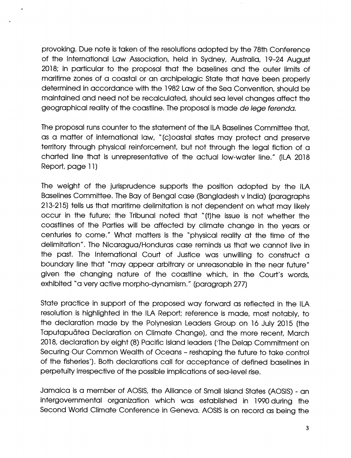provoking. Due note is taken of the resoiutions adopted by the 78th Conference of the internationai Law Association, held in Sydney, Australia, 19-24 August 2018; in particular to the proposal that the baselines and the outer limits of maritime zones of a coastal or an archipelagic State that have been properly determined in accordance with the 1982 Law of the Sea Convention, should be maintained and need not be recalculated, should sea level changes affect the geographical reality of the coastline. The proposal is made de lege ferenda.

The proposal runs counter to the statement of the ILA Baselines Committee that, as a matter of international law, "(c)oastal states may protect and preserve territory through physical reinforcement, but not through the legal fiction of a charted line that is unrepresentative of the actual low-water line." (ILA 2018 Report, page 11)

The weight of the jurisprudence supports the position adopted by the ILA Baselines Committee. The Bay of Bengal case (Bangladesh v India) (paragraphs 213-215) tells us that maritime delimitation is not dependent on what may likely occur in the future; the Tribunal noted that "(t)he issue is not whether the coastlines of the Parties will be affected by climate change in the years or centuries to come." What matters is the "physical reality at the time of the delimitation". The Nicaragua/Honduras case reminds us that we cannot live in the past. The internationai Court of Justice was unwilling to construct a boundary line that "may appear arbitrary or unreasonable in the near future" given the changing nature of the coastline which, in the Court's words, exhibited "a very active morpho-dynamism." (paragraph 277)

State practice in support of the proposed way forward as reflected in the ILA resolution is highlighted in the ILA Report; reference is made, most notably, to the declaration made by the Polynesian Leaders Group on 16 July 2015 (the Taputapudtea Declaration on Climate Change), and the more recent, March 2018, declaration by eight (8) Pacific Island leaders (The Delap Commitment on Securing Our Common Wealth of Oceans - reshaping the future to take control of the fisheries'). Both declarations call for acceptance of defined baselines in perpetuity irrespective of the possible implications of sea-level rise.

Jamaica is a member of AOSIS, the Alliance of Small island States (AOSIS) - an intergovernmental organization which was established in 1990 during the Second World Climate Conference in Geneva. AOSIS is on record as being the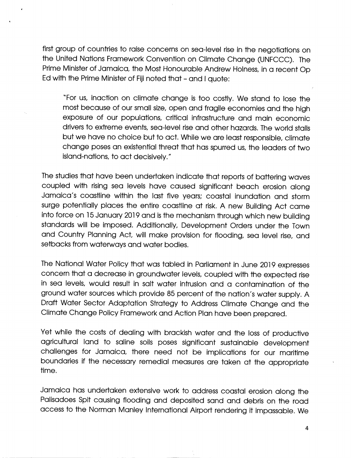first group of countries to raise concerns on seo-ievei rise in the negotiations on the United Nations Framework Convention on Climate Change (UNFCCC). The Prime Minister of Jamaica, the Most Honourable Andrew Hoiness, in a recent Op Ed with the Prime Minister of Fiji noted that - and i quote:

"For us, inaction on climate change is too costly. We stand to lose the most because of our small size, open and fragile economies and the high exposure of our populations, critical infrastructure and main economic drivers to extreme events, sea-ievei rise and other hazards. The world stalls but we have no choice but to act. While we are least responsible, climate change poses an existential threat that has spurred us, the leaders of two island-nations, to act decisively."

The studies that have been undertaken indicate that reports of battering waves coupled with rising sea levels have caused significant beach erosion along Jamaica's coastline within the last five years; coastal inundation and storm surge potentially places the entire coastline at risk. A new Building Act came into force on 15 January 2019 and is the mechanism through which new building standards will be imposed. Additionally, Development Orders under the Town and Country Planning Act, will make provision for flooding, sea level rise, and setbacks from waterways and water bodies.

The National Water Policy that was tabled in Parliament in June 2019 expresses concern that a decrease in groundwater levels, coupled with the expected rise in sea levels, would result in salt water intrusion and a contamination of the ground water sources which provide 85 percent of the nation's water supply. A Draft Water Sector Adaptation Strategy to Address Climate Change and the Climate Change Policy Framework and Action Plan have been prepared.

Yet while the costs of dealing with brackish water and the loss of productive agricultural land to saline soils poses significant sustainable development challenges for Jamaica, there need not be implications for our maritime boundaries if the necessary remedial measures are taken at the appropriate time.

Jamaica has undertaken extensive work to address coastal erosion along the Palisadoes Spit causing flooding and deposited sand and debris on the road access to the Norman Maniey international Airport rendering it impassable. We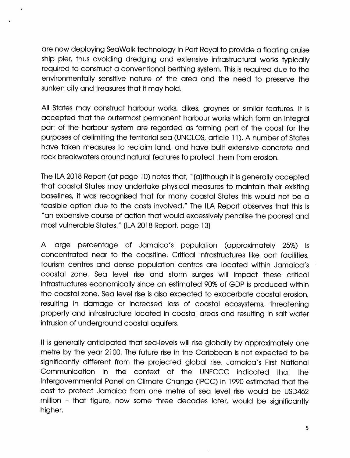are now deploying SeaWalk technology in Port Royal to provide a floating cruise ship pier, thus avoiding dredging and extensive infrastructural works typically required to construct a conventional berthing system. This is required due to the environmentally sensitive nature of the area and the need to preserve the sunken city and treasures that it may hold.

All States may construct harbour works, dikes, groynes or similar features. It is accepted that the outermost permanent harbour works which form an integral part of the harbour system are regarded as forming port of the coast for the purposes of delimiting the territorial sea (UNCLOS, article 11). A number of States have taken measures to reclaim land, and have built extensive concrete and rock breakwaters around natural features to protect them from erosion.

The ILA 2018 Report (at page 10) notes that, "(a)lthough It Is generally accepted that coastal States may undertake physical measures to maintain their existing baselines. It was recognised that for many coastal States this would not be a feasible option due to the costs involved." The ILA Report observes that this is "an expensive course of action that would excessively penalise the poorest and most vulnerable States." (ILA 2018 Report, page 13)

A large percentage of Jamaica's population (approximately 25%) Is concentrated near to the coastline. Critical Infrastructures like port facilities, tourism centres and dense population centres are located within Jamaica's coastal zone. Sea level rise and storm surges will Impact these critical Infrastructures economically since an estimated 90% of GDP Is produced within the coastal zone. Sea level rise is also expected to exacerbate coastal erosion, resulting in damage or increased loss of coastal ecosystems, threatening property and infrastructure located in coastal areas and resulting in salt water intrusion of underground coastal aquifers.

It is generally anticipated that sea-levels will rise globally by approximately one metre by the year 2100. The future rise in the Caribbean is not expected to be significantly different from the projected global rise. Jamaica's First National Communication in the context of the UNFCCC indicated that the Intergovernmental Panel on Climate Change (IPCC) in 1990 estimated that the cost to protect Jamaica from one metre of sea level rise would be LISD462 million - that figure, now some three decades later, would be significantly higher.